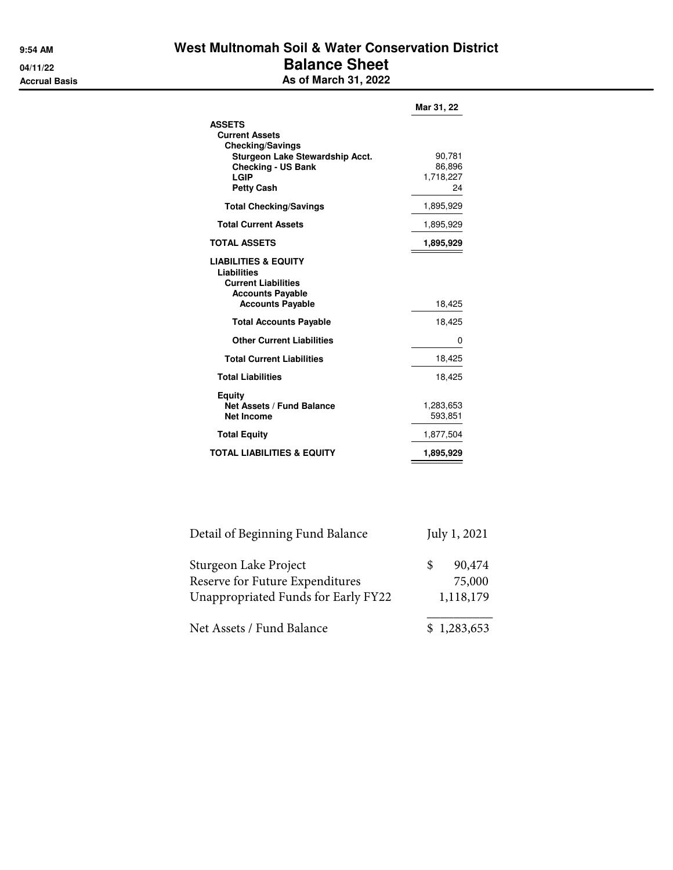## **9:54 AM West Multnomah Soil & Water Conservation District 04/11/22 Balance Sheet Accrual Basis As of March 31, 2022**

|                                                                                                                                                                | Mar 31, 22                          |
|----------------------------------------------------------------------------------------------------------------------------------------------------------------|-------------------------------------|
| <b>ASSETS</b><br><b>Current Assets</b><br><b>Checking/Savings</b><br>Sturgeon Lake Stewardship Acct.<br><b>Checking - US Bank</b><br>LGIP<br><b>Petty Cash</b> | 90,781<br>86,896<br>1,718,227<br>24 |
| <b>Total Checking/Savings</b>                                                                                                                                  | 1,895,929                           |
| <b>Total Current Assets</b>                                                                                                                                    | 1,895,929                           |
| <b>TOTAL ASSETS</b>                                                                                                                                            | 1,895,929                           |
| <b>LIABILITIES &amp; EQUITY</b><br>Liabilities<br><b>Current Liabilities</b><br><b>Accounts Payable</b><br><b>Accounts Payable</b>                             | 18,425                              |
| <b>Total Accounts Payable</b>                                                                                                                                  | 18,425                              |
| <b>Other Current Liabilities</b>                                                                                                                               | 0                                   |
| <b>Total Current Liabilities</b>                                                                                                                               | 18,425                              |
| <b>Total Liabilities</b>                                                                                                                                       | 18,425                              |
| Equity<br><b>Net Assets / Fund Balance</b><br><b>Net Income</b>                                                                                                | 1,283,653<br>593,851                |
| <b>Total Equity</b>                                                                                                                                            | 1,877,504                           |
| <b>TOTAL LIABILITIES &amp; EQUITY</b>                                                                                                                          | 1,895,929                           |

| Detail of Beginning Fund Balance                                                                | July 1, 2021 |                               |  |  |
|-------------------------------------------------------------------------------------------------|--------------|-------------------------------|--|--|
| Sturgeon Lake Project<br>Reserve for Future Expenditures<br>Unappropriated Funds for Early FY22 | \$.          | 90,474<br>75,000<br>1,118,179 |  |  |
| Net Assets / Fund Balance                                                                       |              | \$1,283,653                   |  |  |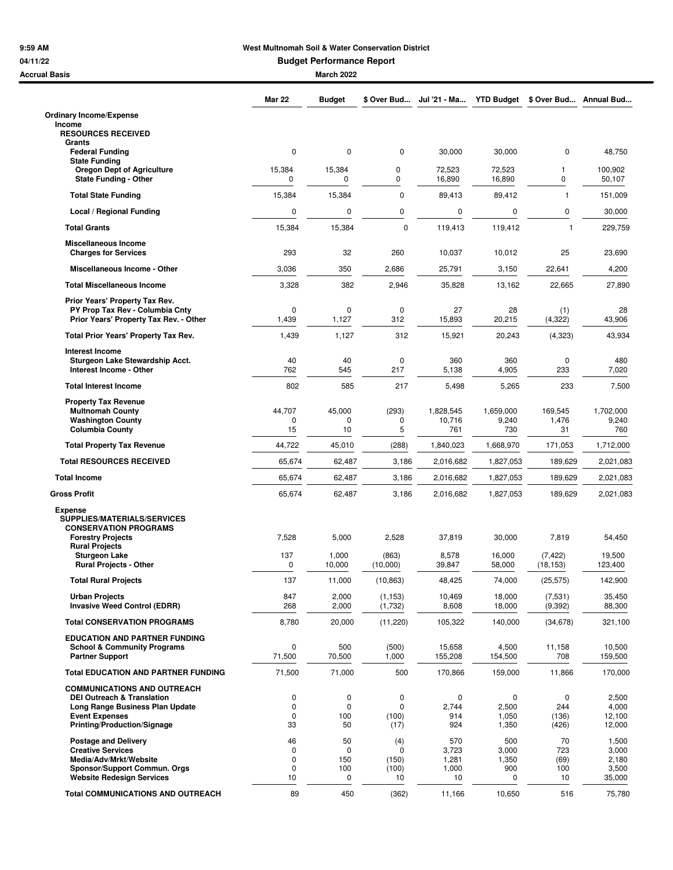## **9:59 AM West Multnomah Soil & Water Conservation District**

**04/11/22 Budget Performance Report**

| <b>Accrual Basis</b>                                                      |                   | <b>March 2022</b> |                     |                     |                    |                       |                    |
|---------------------------------------------------------------------------|-------------------|-------------------|---------------------|---------------------|--------------------|-----------------------|--------------------|
|                                                                           | <b>Mar 22</b>     | <b>Budget</b>     | \$ Over Bud         | Jul '21 - Ma        | <b>YTD Budget</b>  | \$ Over Bud           | Annual Bud         |
| <b>Ordinary Income/Expense</b>                                            |                   |                   |                     |                     |                    |                       |                    |
| Income<br><b>RESOURCES RECEIVED</b>                                       |                   |                   |                     |                     |                    |                       |                    |
| Grants<br><b>Federal Funding</b>                                          | 0                 | 0                 | 0                   | 30,000              | 30,000             | $\mathbf 0$           | 48,750             |
| <b>State Funding</b><br><b>Oregon Dept of Agriculture</b>                 | 15,384            | 15,384            | 0                   | 72,523              | 72,523             | 1                     | 100,902            |
| <b>State Funding - Other</b>                                              | 0                 | 0                 | 0                   | 16,890              | 16,890             | 0                     | 50,107             |
| <b>Total State Funding</b>                                                | 15,384            | 15,384            | 0                   | 89,413              | 89,412             | $\mathbf{1}$          | 151,009            |
| Local / Regional Funding                                                  | 0                 | 0                 | 0                   | 0                   | 0                  | 0                     | 30,000             |
| <b>Total Grants</b>                                                       | 15,384            | 15,384            | 0                   | 119,413             | 119,412            | $\mathbf{1}$          | 229,759            |
| Miscellaneous Income<br><b>Charges for Services</b>                       | 293               | 32                | 260                 | 10,037              | 10,012             | 25                    | 23,690             |
| Miscellaneous Income - Other                                              | 3,036             | 350               | 2,686               | 25,791              | 3,150              | 22,641                | 4,200              |
| <b>Total Miscellaneous Income</b>                                         | 3,328             | 382               | 2,946               | 35,828              | 13,162             | 22,665                | 27,890             |
| Prior Years' Property Tax Rev.                                            |                   |                   |                     |                     |                    |                       |                    |
| PY Prop Tax Rev - Columbia Cntv<br>Prior Years' Property Tax Rev. - Other | 0<br>1,439        | 0<br>1,127        | 0<br>312            | 27<br>15,893        | 28<br>20,215       | (1)<br>(4, 322)       | 28<br>43,906       |
| Total Prior Years' Property Tax Rev.                                      | 1,439             | 1,127             | 312                 | 15,921              | 20,243             | (4, 323)              | 43,934             |
| <b>Interest Income</b>                                                    |                   |                   |                     |                     |                    |                       |                    |
| Sturgeon Lake Stewardship Acct.<br>Interest Income - Other                | 40<br>762         | 40<br>545         | 0<br>217            | 360<br>5,138        | 360<br>4,905       | 0<br>233              | 480<br>7,020       |
| <b>Total Interest Income</b>                                              | 802               | 585               | 217                 | 5,498               | 5,265              | 233                   | 7,500              |
| <b>Property Tax Revenue</b>                                               |                   |                   |                     |                     |                    |                       |                    |
| <b>Multnomah County</b><br><b>Washington County</b>                       | 44,707<br>0       | 45,000<br>0       | (293)<br>0          | 1,828,545<br>10,716 | 1,659,000<br>9,240 | 169,545<br>1,476      | 1,702,000<br>9,240 |
| <b>Columbia County</b>                                                    | 15                | 10                | 5                   | 761                 | 730                | 31                    | 760                |
| <b>Total Property Tax Revenue</b>                                         | 44,722            | 45,010            | (288)               | 1,840,023           | 1,668,970          | 171,053               | 1,712,000          |
| <b>Total RESOURCES RECEIVED</b>                                           | 65,674            | 62,487            | 3,186               | 2,016,682           | 1,827,053          | 189,629               | 2,021,083          |
| <b>Total Income</b>                                                       | 65,674            | 62,487            | 3,186               | 2,016,682           | 1,827,053          | 189,629               | 2,021,083          |
| <b>Gross Profit</b>                                                       | 65,674            | 62,487            | 3,186               | 2,016,682           | 1,827,053          | 189,629               | 2,021,083          |
| <b>Expense</b><br><b>SUPPLIES/MATERIALS/SERVICES</b>                      |                   |                   |                     |                     |                    |                       |                    |
| <b>CONSERVATION PROGRAMS</b><br><b>Forestry Projects</b>                  | 7,528             | 5,000             | 2,528               | 37,819              | 30,000             | 7,819                 | 54,450             |
| <b>Rural Projects</b>                                                     |                   |                   |                     |                     |                    |                       |                    |
| <b>Sturgeon Lake</b><br><b>Rural Projects - Other</b>                     | 137<br>0          | 1,000<br>10,000   | (863)<br>(10,000)   | 8,578<br>39,847     | 16,000<br>58,000   | (7, 422)<br>(18, 153) | 19,500<br>123,400  |
| <b>Total Rural Projects</b>                                               | 137               | 11,000            | (10, 863)           | 48,425              | 74,000             | (25, 575)             | 142,900            |
| <b>Urban Projects</b><br><b>Invasive Weed Control (EDRR)</b>              | 847<br>268        | 2,000<br>2,000    | (1, 153)<br>(1,732) | 10,469<br>8,608     | 18,000<br>18,000   | (7,531)<br>(9,392)    | 35,450<br>88,300   |
| <b>Total CONSERVATION PROGRAMS</b>                                        | 8,780             | 20,000            | (11,220)            | 105,322             | 140,000            | (34, 678)             | 321,100            |
| <b>EDUCATION AND PARTNER FUNDING</b>                                      |                   |                   |                     |                     |                    |                       |                    |
| <b>School &amp; Community Programs</b><br><b>Partner Support</b>          | 0<br>71,500       | 500<br>70,500     | (500)<br>1,000      | 15,658<br>155,208   | 4,500<br>154,500   | 11,158<br>708         | 10,500<br>159,500  |
| <b>Total EDUCATION AND PARTNER FUNDING</b>                                | 71,500            | 71,000            | 500                 | 170,866             | 159,000            | 11,866                | 170,000            |
| <b>COMMUNICATIONS AND OUTREACH</b>                                        |                   |                   |                     |                     |                    |                       |                    |
| <b>DEI Outreach &amp; Translation</b><br>Long Range Business Plan Update  | 0<br>0            | 0<br>0            | 0<br>0              | 0<br>2,744          | 0<br>2,500         | 0<br>244              | 2,500<br>4,000     |
| <b>Event Expenses</b><br><b>Printing/Production/Signage</b>               | $\mathbf 0$<br>33 | 100<br>50         | (100)<br>(17)       | 914<br>924          | 1,050<br>1,350     | (136)<br>(426)        | 12,100<br>12,000   |
| <b>Postage and Delivery</b>                                               | 46                | 50                | (4)                 | 570                 | 500                | 70                    | 1,500              |
| <b>Creative Services</b>                                                  | 0                 | 0                 | 0                   | 3,723               | 3,000              | 723                   | 3,000              |
| Media/Adv/Mrkt/Website<br>Sponsor/Support Commun. Orgs                    | 0<br>0            | 150<br>100        | (150)<br>(100)      | 1,281<br>1,000      | 1,350<br>900       | (69)<br>100           | 2,180<br>3,500     |
| <b>Website Redesign Services</b>                                          | 10                | 0                 | 10                  | 10                  | 0                  | 10                    | 35,000             |
| <b>Total COMMUNICATIONS AND OUTREACH</b>                                  | 89                | 450               | (362)               | 11,166              | 10,650             | 516                   | 75,780             |